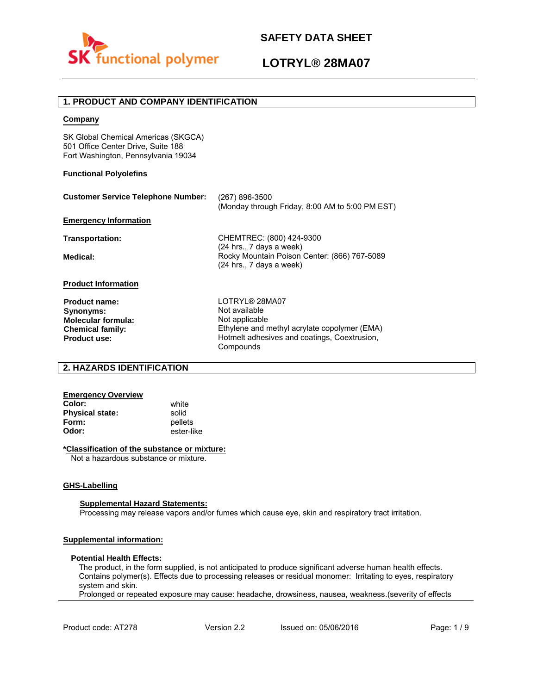

# **LOTRYL® 28MA07**

### **1. PRODUCT AND COMPANY IDENTIFICATION**

### **Company**

SK Global Chemical Americas (SKGCA) 501 Office Center Drive, Suite 188 Fort Washington, Pennsylvania 19034

### **Functional Polyolefins**

| <b>Customer Service Telephone Number:</b>                                   | $(267) 896 - 3500$<br>(Monday through Friday, 8:00 AM to 5:00 PM EST)                             |
|-----------------------------------------------------------------------------|---------------------------------------------------------------------------------------------------|
| <b>Emergency Information</b>                                                |                                                                                                   |
| Transportation:                                                             | CHEMTREC: (800) 424-9300<br>(24 hrs., 7 days a week)                                              |
| Medical:                                                                    | Rocky Mountain Poison Center: (866) 767-5089<br>$(24$ hrs., 7 days a week)                        |
| <b>Product Information</b>                                                  |                                                                                                   |
| Product name:<br>Synonyms:<br>Molecular formula:<br><b>Chemical family:</b> | LOTRYL® 28MA07<br>Not available<br>Not applicable<br>Ethylene and methyl acrylate copolymer (EMA) |
| <b>Product use:</b>                                                         | Hotmelt adhesives and coatings, Coextrusion,                                                      |

Compounds

### **2. HAZARDS IDENTIFICATION**

### **Emergency Overview**

**Color:** white **Physical state:** solid<br> **Form:** nellet **Form:** pellets<br> **Odor:** ester-li

**Odor:** ester-like

### **\*Classification of the substance or mixture:**

Not a hazardous substance or mixture.

### **GHS-Labelling**

#### **Supplemental Hazard Statements:**

Processing may release vapors and/or fumes which cause eye, skin and respiratory tract irritation.

### **Supplemental information:**

#### **Potential Health Effects:**

The product, in the form supplied, is not anticipated to produce significant adverse human health effects. Contains polymer(s). Effects due to processing releases or residual monomer: Irritating to eyes, respiratory system and skin.

Prolonged or repeated exposure may cause: headache, drowsiness, nausea, weakness.(severity of effects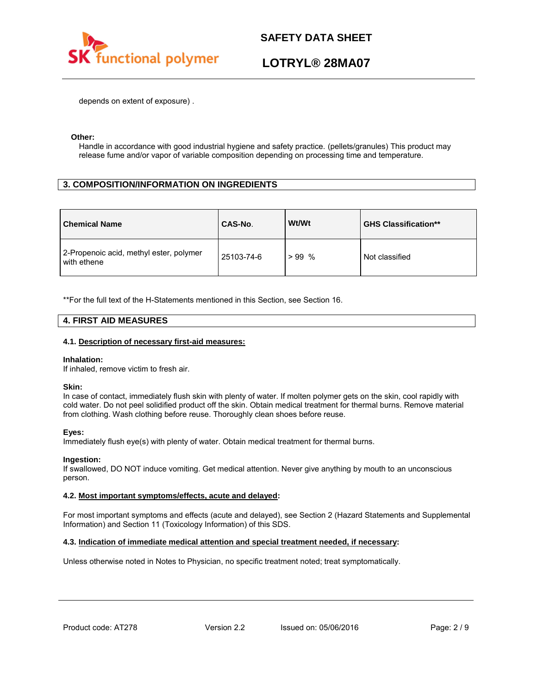

# **LOTRYL® 28MA07**

depends on extent of exposure) .

### **Other:**

Handle in accordance with good industrial hygiene and safety practice. (pellets/granules) This product may release fume and/or vapor of variable composition depending on processing time and temperature.

### **3. COMPOSITION/INFORMATION ON INGREDIENTS**

| <b>Chemical Name</b>                                   | CAS-No.    | Wt/Wt   | <b>GHS Classification**</b> |
|--------------------------------------------------------|------------|---------|-----------------------------|
| 2-Propenoic acid, methyl ester, polymer<br>with ethene | 25103-74-6 | $>99\%$ | Not classified              |

\*\*For the full text of the H-Statements mentioned in this Section, see Section 16.

### **4. FIRST AID MEASURES**

### **4.1. Description of necessary first-aid measures:**

#### **Inhalation:**

If inhaled, remove victim to fresh air.

### **Skin:**

In case of contact, immediately flush skin with plenty of water. If molten polymer gets on the skin, cool rapidly with cold water. Do not peel solidified product off the skin. Obtain medical treatment for thermal burns. Remove material from clothing. Wash clothing before reuse. Thoroughly clean shoes before reuse.

### **Eyes:**

Immediately flush eye(s) with plenty of water. Obtain medical treatment for thermal burns.

### **Ingestion:**

If swallowed, DO NOT induce vomiting. Get medical attention. Never give anything by mouth to an unconscious person.

### **4.2. Most important symptoms/effects, acute and delayed:**

For most important symptoms and effects (acute and delayed), see Section 2 (Hazard Statements and Supplemental Information) and Section 11 (Toxicology Information) of this SDS.

### **4.3. Indication of immediate medical attention and special treatment needed, if necessary:**

Unless otherwise noted in Notes to Physician, no specific treatment noted; treat symptomatically.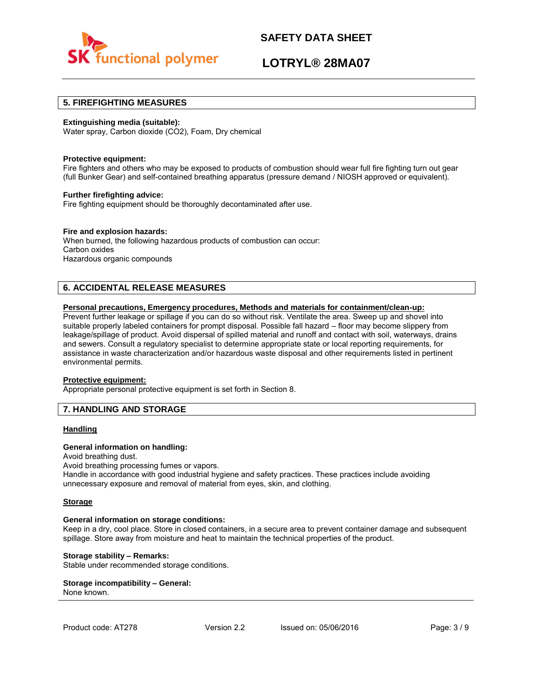

# **LOTRYL® 28MA07**

### **5. FIREFIGHTING MEASURES**

### **Extinguishing media (suitable):**

Water spray, Carbon dioxide (CO2), Foam, Dry chemical

#### **Protective equipment:**

Fire fighters and others who may be exposed to products of combustion should wear full fire fighting turn out gear (full Bunker Gear) and self-contained breathing apparatus (pressure demand / NIOSH approved or equivalent).

### **Further firefighting advice:**

Fire fighting equipment should be thoroughly decontaminated after use.

### **Fire and explosion hazards:**

When burned, the following hazardous products of combustion can occur: Carbon oxides Hazardous organic compounds

### **6. ACCIDENTAL RELEASE MEASURES**

### **Personal precautions, Emergency procedures, Methods and materials for containment/clean-up:**

Prevent further leakage or spillage if you can do so without risk. Ventilate the area. Sweep up and shovel into suitable properly labeled containers for prompt disposal. Possible fall hazard – floor may become slippery from leakage/spillage of product. Avoid dispersal of spilled material and runoff and contact with soil, waterways, drains and sewers. Consult a regulatory specialist to determine appropriate state or local reporting requirements, for assistance in waste characterization and/or hazardous waste disposal and other requirements listed in pertinent environmental permits.

#### **Protective equipment:**

Appropriate personal protective equipment is set forth in Section 8.

### **7. HANDLING AND STORAGE**

### **Handling**

### **General information on handling:**

Avoid breathing dust.

Avoid breathing processing fumes or vapors.

Handle in accordance with good industrial hygiene and safety practices. These practices include avoiding unnecessary exposure and removal of material from eyes, skin, and clothing.

#### **Storage**

#### **General information on storage conditions:**

Keep in a dry, cool place. Store in closed containers, in a secure area to prevent container damage and subsequent spillage. Store away from moisture and heat to maintain the technical properties of the product.

### **Storage stability – Remarks:**

Stable under recommended storage conditions.

#### **Storage incompatibility – General:**  None known.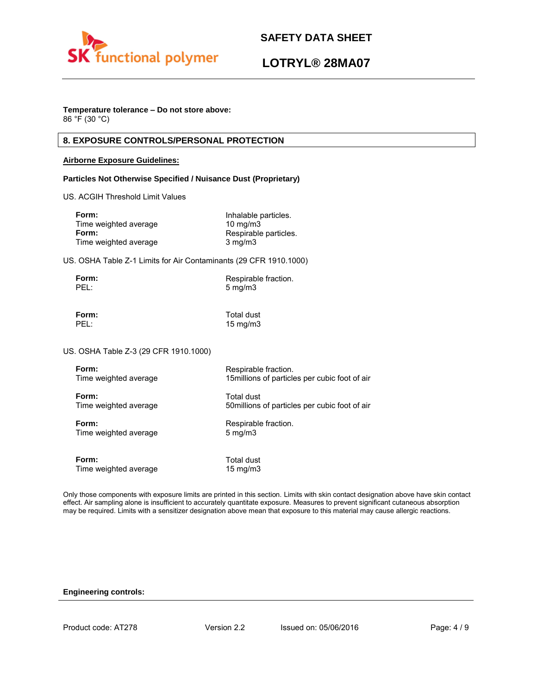

# **LOTRYL® 28MA07**

## **Temperature tolerance – Do not store above:**

86 °F (30 °C)

### **8. EXPOSURE CONTROLS/PERSONAL PROTECTION**

### **Airborne Exposure Guidelines:**

### **Particles Not Otherwise Specified / Nuisance Dust (Proprietary)**

US. ACGIH Threshold Limit Values

| Form:                 | Inhalable particles.  |
|-----------------------|-----------------------|
| Time weighted average | $10 \text{ ma/m}$ 3   |
| Form:                 | Respirable particles. |
| Time weighted average | $3 \text{ mg/m}$      |

US. OSHA Table Z-1 Limits for Air Contaminants (29 CFR 1910.1000)

| Form: | Respirable fraction. |
|-------|----------------------|
| PEL:  | $5 \text{ mg/m}$     |

**Form:** Total dust<br> **PEL:** 15 mg/m3 15 mg/m3

US. OSHA Table Z-3 (29 CFR 1910.1000)

| Form:                 | Respirable fraction.                           |
|-----------------------|------------------------------------------------|
| Time weighted average | 15 millions of particles per cubic foot of air |
| Form:                 | Total dust                                     |
| Time weighted average | 50 millions of particles per cubic foot of air |
| Form:                 | Respirable fraction.                           |
| Time weighted average | $5 \text{ mg/m}$                               |
| Form:                 | Total dust                                     |
| Time weighted average | 15 mg/m $3$                                    |

Only those components with exposure limits are printed in this section. Limits with skin contact designation above have skin contact effect. Air sampling alone is insufficient to accurately quantitate exposure. Measures to prevent significant cutaneous absorption may be required. Limits with a sensitizer designation above mean that exposure to this material may cause allergic reactions.

### **Engineering controls:**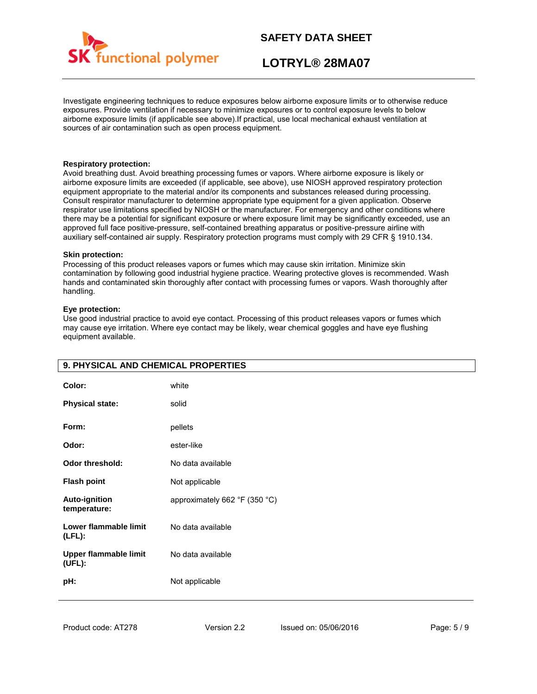

# **LOTRYL® 28MA07**

Investigate engineering techniques to reduce exposures below airborne exposure limits or to otherwise reduce exposures. Provide ventilation if necessary to minimize exposures or to control exposure levels to below airborne exposure limits (if applicable see above).If practical, use local mechanical exhaust ventilation at sources of air contamination such as open process equipment.

### **Respiratory protection:**

Avoid breathing dust. Avoid breathing processing fumes or vapors. Where airborne exposure is likely or airborne exposure limits are exceeded (if applicable, see above), use NIOSH approved respiratory protection equipment appropriate to the material and/or its components and substances released during processing. Consult respirator manufacturer to determine appropriate type equipment for a given application. Observe respirator use limitations specified by NIOSH or the manufacturer. For emergency and other conditions where there may be a potential for significant exposure or where exposure limit may be significantly exceeded, use an approved full face positive-pressure, self-contained breathing apparatus or positive-pressure airline with auxiliary self-contained air supply. Respiratory protection programs must comply with 29 CFR § 1910.134.

### **Skin protection:**

Processing of this product releases vapors or fumes which may cause skin irritation. Minimize skin contamination by following good industrial hygiene practice. Wearing protective gloves is recommended. Wash hands and contaminated skin thoroughly after contact with processing fumes or vapors. Wash thoroughly after handling.

### **Eye protection:**

Use good industrial practice to avoid eye contact. Processing of this product releases vapors or fumes which may cause eye irritation. Where eye contact may be likely, wear chemical goggles and have eye flushing equipment available.

| 9. PHYSICAL AND CHEMICAL PROPERTIES    |                               |
|----------------------------------------|-------------------------------|
| Color:                                 | white                         |
| <b>Physical state:</b>                 | solid                         |
| Form:                                  | pellets                       |
| Odor:                                  | ester-like                    |
| Odor threshold:                        | No data available             |
| <b>Flash point</b>                     | Not applicable                |
| Auto-ignition<br>temperature:          | approximately 662 °F (350 °C) |
| Lower flammable limit<br>$(LFL)$ :     | No data available             |
| <b>Upper flammable limit</b><br>(UEL): | No data available             |
| pH:                                    | Not applicable                |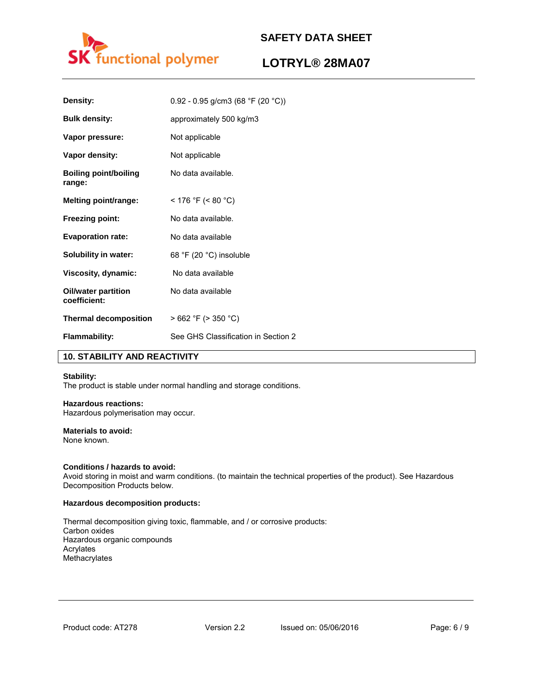

# **LOTRYL® 28MA07**

| Density:                               | $0.92 - 0.95$ g/cm3 (68 °F (20 °C)) |
|----------------------------------------|-------------------------------------|
| <b>Bulk density:</b>                   | approximately 500 kg/m3             |
| Vapor pressure:                        | Not applicable                      |
| Vapor density:                         | Not applicable                      |
| <b>Boiling point/boiling</b><br>range: | No data available.                  |
| <b>Melting point/range:</b>            | < 176 °F (< 80 °C)                  |
| <b>Freezing point:</b>                 | No data available.                  |
| <b>Evaporation rate:</b>               | No data available                   |
| Solubility in water:                   | 68 °F (20 °C) insoluble             |
| Viscosity, dynamic:                    | No data available                   |
| Oil/water partition<br>coefficient:    | No data available                   |
| <b>Thermal decomposition</b>           | $>662$ °F ( $>350$ °C)              |
| <b>Flammability:</b>                   | See GHS Classification in Section 2 |

### **10. STABILITY AND REACTIVITY**

### **Stability:**

The product is stable under normal handling and storage conditions.

### **Hazardous reactions:**

Hazardous polymerisation may occur.

# **Materials to avoid:**

None known.

### **Conditions / hazards to avoid:**

Avoid storing in moist and warm conditions. (to maintain the technical properties of the product). See Hazardous Decomposition Products below.

### **Hazardous decomposition products:**

Thermal decomposition giving toxic, flammable, and / or corrosive products: Carbon oxides Hazardous organic compounds Acrylates Methacrylates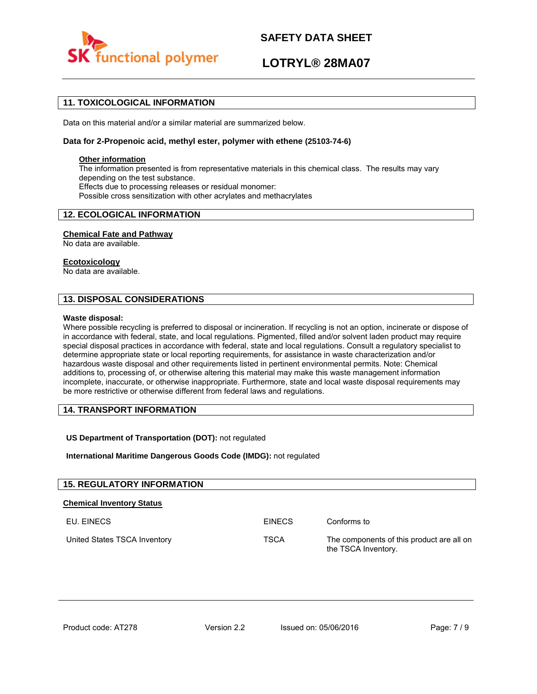

# **LOTRYL® 28MA07**

### **11. TOXICOLOGICAL INFORMATION**

Data on this material and/or a similar material are summarized below.

### **Data for 2-Propenoic acid, methyl ester, polymer with ethene (25103-74-6)**

### **Other information**

The information presented is from representative materials in this chemical class. The results may vary depending on the test substance. Effects due to processing releases or residual monomer: Possible cross sensitization with other acrylates and methacrylates

### **12. ECOLOGICAL INFORMATION**

### **Chemical Fate and Pathway**

No data are available.

### **Ecotoxicology**

No data are available.

### **13. DISPOSAL CONSIDERATIONS**

#### **Waste disposal:**

Where possible recycling is preferred to disposal or incineration. If recycling is not an option, incinerate or dispose of in accordance with federal, state, and local regulations. Pigmented, filled and/or solvent laden product may require special disposal practices in accordance with federal, state and local regulations. Consult a regulatory specialist to determine appropriate state or local reporting requirements, for assistance in waste characterization and/or hazardous waste disposal and other requirements listed in pertinent environmental permits. Note: Chemical additions to, processing of, or otherwise altering this material may make this waste management information incomplete, inaccurate, or otherwise inappropriate. Furthermore, state and local waste disposal requirements may be more restrictive or otherwise different from federal laws and regulations.

### **14. TRANSPORT INFORMATION**

### **US Department of Transportation (DOT):** not regulated

**International Maritime Dangerous Goods Code (IMDG):** not regulated

| <b>15. REGULATORY INFORMATION</b> |               |                                                                  |
|-----------------------------------|---------------|------------------------------------------------------------------|
| <b>Chemical Inventory Status</b>  |               |                                                                  |
| EU. EINECS                        | <b>EINECS</b> | Conforms to                                                      |
| United States TSCA Inventory      | <b>TSCA</b>   | The components of this product are all on<br>the TSCA Inventory. |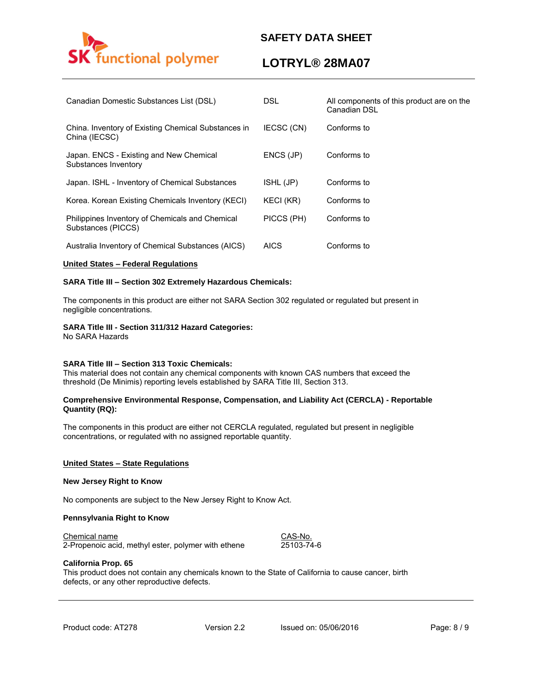

# **LOTRYL® 28MA07**

| Canadian Domestic Substances List (DSL)                               | DSL.        | All components of this product are on the<br>Canadian DSL |
|-----------------------------------------------------------------------|-------------|-----------------------------------------------------------|
| China. Inventory of Existing Chemical Substances in<br>China (IECSC)  | IECSC (CN)  | Conforms to                                               |
| Japan. ENCS - Existing and New Chemical<br>Substances Inventory       | ENCS (JP)   | Conforms to                                               |
| Japan. ISHL - Inventory of Chemical Substances                        | ISHL (JP)   | Conforms to                                               |
| Korea. Korean Existing Chemicals Inventory (KECI)                     | KECI (KR)   | Conforms to                                               |
| Philippines Inventory of Chemicals and Chemical<br>Substances (PICCS) | PICCS (PH)  | Conforms to                                               |
| Australia Inventory of Chemical Substances (AICS)                     | <b>AICS</b> | Conforms to                                               |

### **United States – Federal Regulations**

### **SARA Title III – Section 302 Extremely Hazardous Chemicals:**

The components in this product are either not SARA Section 302 regulated or regulated but present in negligible concentrations.

### **SARA Title III - Section 311/312 Hazard Categories:**

No SARA Hazards

### **SARA Title III – Section 313 Toxic Chemicals:**

This material does not contain any chemical components with known CAS numbers that exceed the threshold (De Minimis) reporting levels established by SARA Title III, Section 313.

### **Comprehensive Environmental Response, Compensation, and Liability Act (CERCLA) - Reportable Quantity (RQ):**

The components in this product are either not CERCLA regulated, regulated but present in negligible concentrations, or regulated with no assigned reportable quantity.

#### **United States – State Regulations**

#### **New Jersey Right to Know**

No components are subject to the New Jersey Right to Know Act.

### **Pennsylvania Right to Know**

Chemical name CAS-No.

2-Propenoic acid, methyl ester, polymer with ethene 25103-74-6

### **California Prop. 65**

This product does not contain any chemicals known to the State of California to cause cancer, birth defects, or any other reproductive defects.